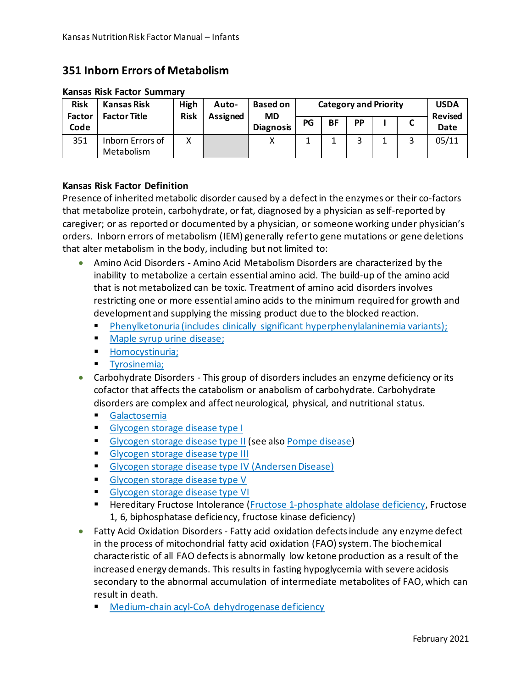## **351 Inborn Errors of Metabolism**

| <b>Risk</b><br><b>Factor</b><br>Code | Kansas Risk<br><b>Factor Title</b> | High<br><b>Risk</b> | Auto-<br>Assigned | <b>Based on</b><br><b>MD</b><br><b>Diagnosis</b> | <b>Category and Priority</b> |           |           |  |   | <b>USDA</b><br><b>Revised</b> |
|--------------------------------------|------------------------------------|---------------------|-------------------|--------------------------------------------------|------------------------------|-----------|-----------|--|---|-------------------------------|
|                                      |                                    |                     |                   |                                                  | PG                           | <b>BF</b> | <b>PP</b> |  |   | Date                          |
| 351                                  | Inborn Errors of<br>Metabolism     | х                   |                   |                                                  | ᅩ                            |           |           |  | 2 | 05/11                         |

## **Kansas Risk Factor Summary**

## **Kansas Risk Factor Definition**

Presence of inherited metabolic disorder caused by a defect in the enzymes or their co-factors that metabolize protein, carbohydrate, or fat, diagnosed by a physician as self-reported by caregiver; or as reported or documented by a physician, or someone working under physician's orders. Inborn errors of metabolism (IEM) generally refer to gene mutations or gene deletions that alter metabolism in the body, including but not limited to:

- Amino Acid Disorders Amino Acid Metabolism Disorders are characterized by the inability to metabolize a certain essential amino acid. The build-up of the amino acid that is not metabolized can be toxic. Treatment of amino acid disorders involves restricting one or more essential amino acids to the minimum required for growth and development and supplying the missing product due to the blocked reaction.
	- [Phenylketonuria \(includes clinically significant hyperphenylalaninemia variants\);](http://ghr.nlm.nih.gov/condition/phenylketonuria)
	- **[Maple syrup urine disease;](http://ghr.nlm.nih.gov/condition/maple-syrup-urine-disease)**
	- **[Homocystinuria;](http://ghr.nlm.nih.gov/condition/homocystinuria)**
	- **[Tyrosinemia;](http://ghr.nlm.nih.gov/condition/tyrosinemia)**
- Carbohydrate Disorders This group of disorders includes an enzyme deficiency or its cofactor that affects the catabolism or anabolism of carbohydrate. Carbohydrate disorders are complex and affect neurological, physical, and nutritional status.
	- [Galactosemia](http://ghr.nlm.nih.gov/condition/galactosemia)
	- [Glycogen storage disease type I](http://ghr.nlm.nih.gov/condition/glycogen-storage-disease-type-i)
	- **[Glycogen storage disease type II](http://ghr.nlm.nih.gov/condition/pompe-disease) (see also [Pompe disease\)](http://ghr.nlm.nih.gov/condition/pompe-disease)**
	- **[Glycogen storage disease type III](http://ghr.nlm.nih.gov/condition/glycogen-storage-disease-type-iii)**
	- **[Glycogen storage disease type IV \(Andersen Disease\)](http://www.rarediseases.org/search/rdbdetail_abstract.html?disname=Andersen%20Disease%20%28GSD%20IV%29)**
	- [Glycogen storage disease type V](http://ghr.nlm.nih.gov/condition/glycogen-storage-disease-type-v)
	- [Glycogen storage disease type VI](http://ghr.nlm.nih.gov/condition/glycogen-storage-disease-type-vi)
	- **Hereditary Fructose Intolerance [\(Fructose 1-phosphate aldolase deficiency,](http://www.ncbi.nlm.nih.gov/pmc/articles/PMC1051308/pdf/jmedgene00234-0001.pdf) Fructose** 1, 6, biphosphatase deficiency, fructose kinase deficiency)
- Fatty Acid Oxidation Disorders Fatty acid oxidation defects include any enzyme defect in the process of mitochondrial fatty acid oxidation (FAO) system. The biochemical characteristic of all FAO defects is abnormally low ketone production as a result of the increased energy demands. This results in fasting hypoglycemia with severe acidosis secondary to the abnormal accumulation of intermediate metabolites of FAO, which can result in death.
	- [Medium-chain acyl-CoA dehydrogenase deficiency](http://ghr.nlm.nih.gov/condition/medium-chain-acyl-coenzyme-a-dehydrogenase-deficiency)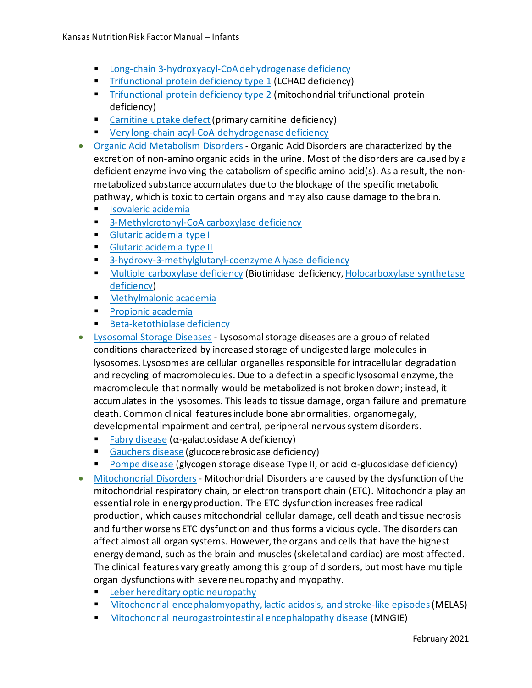- **[Long-chain 3-hydroxyacyl-CoA dehydrogenase deficiency](http://ghr.nlm.nih.gov/condition/long-chain-3-hydroxyacyl-coenzyme-a-dehydrogenase-deficiency)**
- **[Trifunctional protein deficiency type 1](http://ghr.nlm.nih.gov/condition/long-chain-3-hydroxyacyl-coenzyme-a-dehydrogenase-deficiency) (LCHAD deficiency)**
- **[Trifunctional protein deficiency type 2](http://ghr.nlm.nih.gov/condition/mitochondrial-trifunctional-protein-deficiency) (mitochondrial trifunctional protein** deficiency)
- [Carnitine uptake defect](http://ghr.nlm.nih.gov/condition/primary-carnitine-deficiency) (primary carnitine deficiency)
- **[Very long-chain acyl-CoA dehydrogenase deficiency](http://www.ncbi.nlm.nih.gov/pmc/articles/PMC1051308/pdf/jmedgene00234-0001.pdf)**
- [Organic Acid Metabolism Disorders](http://www.ncbi.nlm.nih.gov/bookshelf/br.fcgi?book=gene&part=oa-overview#oa-overview) Organic Acid Disorders are characterized by the excretion of non-amino organic acids in the urine. Most of the disorders are caused by a deficient enzyme involving the catabolism of specific amino acid(s). As a result, the nonmetabolized substance accumulates due to the blockage of the specific metabolic pathway, which is toxic to certain organs and may also cause damage to the brain.
	- **In [Isovaleric acidemia](http://ghr.nlm.nih.gov/condition/isovaleric-acidemia)**
	- **[3-Methylcrotonyl-CoA carboxylase deficiency](http://ghr.nlm.nih.gov/condition/3-methylcrotonyl-coenzyme-a-carboxylase-deficiency)**
	- **[Glutaric acidemia type I](http://ghr.nlm.nih.gov/condition/glutaric-acidemia-type-i)**
	- **[Glutaric acidemia type II](http://ghr.nlm.nih.gov/condition/glutaric-acidemia-type-ii)**
	- **[3-hydroxy-3-methylglutaryl-coenzyme A lyase deficiency](http://ghr.nlm.nih.gov/condition/3-methylcrotonyl-coenzyme-a-carboxylase-deficiency)**
	- **[Multiple carboxylase deficiency](http://ghr.nlm.nih.gov/condition/biotinidase-deficiency) (Biotinidase deficiency, Holocarboxylase synthetase** [deficiency\)](http://ghr.nlm.nih.gov/condition/holocarboxylase-synthetase-deficiency)
	- **[Methylmalonic academia](http://ghr.nlm.nih.gov/condition/methylmalonic-acidemia)**
	- **[Propionic academia](http://ghr.nlm.nih.gov/condition/propionic-acidemia)**
	- **[Beta-ketothiolase deficiency](http://ghr.nlm.nih.gov/condition/beta-ketothiolase-deficiency)**
- [Lysosomal Storage Diseases](http://www.neuropathologyweb.org/chapter10/chapter10aLSDgeneral.html#lsd) Lysosomal storage diseases are a group of related conditions characterized by increased storage of undigested large molecules in lysosomes. Lysosomes are cellular organelles responsible for intracellular degradation and recycling of macromolecules. Due to a defect in a specific lysosomal enzyme, the macromolecule that normally would be metabolized is not broken down; instead, it accumulates in the lysosomes. This leads to tissue damage, organ failure and premature death. Common clinical features include bone abnormalities, organomegaly, developmental impairment and central, peripheral nervous system disorders.
	- [Fabry disease](http://ghr.nlm.nih.gov/condition/fabry-disease)  $(\alpha$ -galactosidase A deficiency)
	- [Gauchers disease](http://ghr.nlm.nih.gov/condition/gaucher-disease) (glucocerebrosidase deficiency)
	- [Pompe disease](http://ghr.nlm.nih.gov/condition/pompe-disease) (glycogen storage disease Type II, or acid  $\alpha$ -glucosidase deficiency)
- [Mitochondrial Disorders](http://www.ncbi.nlm.nih.gov/bookshelf/br.fcgi?book=gene&part=mt-overview#mt-overview) Mitochondrial Disorders are caused by the dysfunction of the mitochondrial respiratory chain, or electron transport chain (ETC). Mitochondria play an essential role in energy production. The ETC dysfunction increases free radical production, which causes mitochondrial cellular damage, cell death and tissue necrosis and further worsens ETC dysfunction and thus forms a vicious cycle. The disorders can affect almost all organ systems. However, the organs and cells that have the highest energy demand, such as the brain and muscles (skeletal and cardiac) are most affected. The clinical features vary greatly among this group of disorders, but most have multiple organ dysfunctions with severe neuropathy and myopathy.
	- **Example 2** [Leber hereditary optic neuropathy](http://ghr.nlm.nih.gov/condition/leber-hereditary-optic-neuropathy)
	- **[Mitochondrial encephalomyopathy, lactic acidosis, and stroke-like episodes](http://ghr.nlm.nih.gov/condition/mitochondrial-neurogastrointestinal-encephalopathy-disease) (MELAS)**
	- [Mitochondrial neurogastrointestinal encephalopathy disease](http://ghr.nlm.nih.gov/condition/mitochondrial-neurogastrointestinal-encephalopathy-disease) (MNGIE)